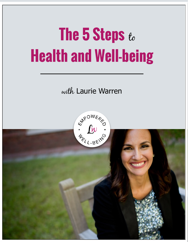# **The 5 Steps** to**Health and Well-being**

with Laurie Warren

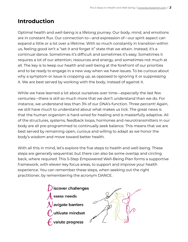## **Introduction**

Optimal health and well-being is a lifelong journey. Our body, mind, and emotions are in constant flux. Our connection to—and expression of—our spirit aspect can expand a little or a lot over a lifetime. With so much constantly in transition within us, feeling good isn't a "set it and forget it" state that we attain. Instead, it's a continual dance. Sometimes it's difficult and sometimes it's easy. Sometimes it requires a lot of our attention, resources and energy, and sometimes not much at all. The key is to keep our health and well-being at the forefront of our priorities and to be ready to engage in a new way when we have issues. To be curious about why a symptom or issue is cropping up, as opposed to ignoring it or suppressing it. We are best served by working with the body, instead of against it.

While we have learned a lot about ourselves over time—especially the last few centuries—there is still so much more that we don't understand than we do. For instance, we understand less than 3% of our DNA's function. Three percent! Again, we still have much to understand about what makes us tick. The great news is that the human organism is hard-wired for healing and is masterfully adaptive. All of the structures, systems, feedback loops, hormones and neurotransmitters in our body are all pre-programmed to continually seek balance. This means that we are best served by remaining open, curious and willing to adapt as we honor the body's wisdom and move toward better health.

With all this in mind, let's explore the five steps to health and well-being. These steps are generally sequential, but there can also be some overlap and circling back, where required. This 5-Step Empowered Well-Being Plan forms a supportive framework, with eleven key focus areas, to support and improve your health experience. You can remember these steps, when seeking out the right practitioner, by remembering the acronym DANCE.



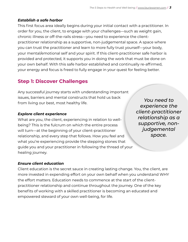#### *Establish a safe harbor*

This first focus area ideally begins during your initial contact with a practitioner. In order for you, the client, to engage with your challenges—such as weight gain, chronic illness or off-the-rails stress—you need to experience the clientpractitioner relationship as a supportive, non-judgemental space. A space where you can trust the practitioner and learn to more fully trust yourself—your body, your mental/emotional self and your spirit. If this client-practitioner safe harbor is provided and protected, it supports you in doing the work that must be done on your own behalf. With this safe harbor established and continually re-affirmed, your energy and focus is freed to fully engage in your quest for feeling better.

## **Step 1: Discover Challenges**

Any successful journey starts with understanding important issues, barriers and mental constructs that hold us back from living our best, most healthy life.

#### *Explore client experience*

What are you, the client, experiencing in relation to wellbeing? This is the fulcrum on which the entire process will turn—at the beginning of your client-practitioner relationship, and every step that follows. How you feel and what you're experiencing provide the stepping stones that guide you and your practitioner in following the thread of your healing journey.

*You need to experience the client-practitioner relationship as a supportive, nonjudgemental space.*

#### *Ensure client education*

Client education is the secret sauce in creating lasting change. You, the client, are more invested in expending effort on your own behalf when you understand WHY the effort matters. Education needs to commence at the start of the clientpractitioner relationship and continue throughout the journey. One of the key benefits of working with a skilled practitioner is becoming an educated and empowered steward of your own well-being, for life.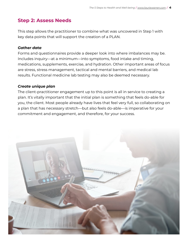## **Step 2: Assess Needs**

This step allows the practitioner to combine what was uncovered in Step 1 with key data points that will support the creation of a PLAN.

#### *Gather data*

Forms and questionnaires provide a deeper look into where imbalances may be. Includes inquiry—at a minimum—into symptoms, food intake and timing, medications, supplements, exercise, and hydration. Other important areas of focus are stress, stress management, tactical and mental barriers, and medical lab results. Functional medicine lab testing may also be deemed necessary.

#### *Create unique plan*

The client-practitioner engagement up to this point is all in service to creating a plan. It's vitally important that the initial plan is something that feels do-able for you, the client. Most people already have lives that feel very full, so collaborating on a plan that has necessary stretch—but also feels do-able—is imperative for your commitment and engagement, and therefore, for your success.

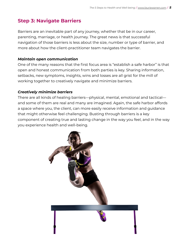## **Step 3: Navigate Barriers**

Barriers are an inevitable part of any journey, whether that be in our career, parenting, marriage, or health journey. The great news is that successful navigation of those barriers is less about the size, number or type of barrier, and more about how the client-practitioner team navigates the barrier.

#### *Maintain open communication*

One of the many reasons that the first focus area is "establish a safe harbor" is that open and honest communication from both parties is key. Sharing information, setbacks, new symptoms, insights, wins and losses are all grist for the mill of working together to creatively navigate and minimize barriers.

#### *Creatively minimize barriers*

There are all kinds of healing barriers—physical, mental, emotional and tactical and some of them are real and many are imagined. Again, the safe harbor affords a space where you, the client, can more easily receive information and guidance that might otherwise feel challenging. Busting through barriers is a key component of creating true and lasting change in the way you feel, and in the way you experience health and well-being.

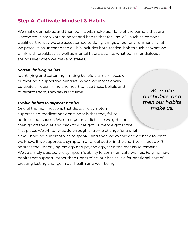## **Step 4: Cultivate Mindset & Habits**

We make our habits, and then our habits make us. Many of the barriers that are uncovered in step 3 are mindset and habits that feel "solid"—such as personal qualities, the way we are accustomed to doing things or our environment—that we perceive as unchangeable. This includes both tactical habits such as what we drink with breakfast, as well as mental habits such as what our inner dialogue sounds like when we make mistakes.

#### *Soften limiting beliefs*

Identifying and softening limiting beliefs is a main focus of cultivating a supportive mindset. When we intentionally cultivate an open mind and heart to face these beliefs and minimize them, they sky is the limit!

#### *Evolve habits to support health*

One of the main reasons that diets and symptomsuppressing medications don't work is that they fail to address root causes. We often go on a diet, lose weight, and then go off the diet and back to what got us overweight in the first place. We white-knuckle through extreme change for a brief time—holding our breath, so to speak—and then we exhale and go back to what we know. If we suppress a symptom and feel better in the short-term, but don't address the underlying biology and psychology, then the root issue remains. We've simply quieted the symptom's ability to communicate with us. Forging new habits that support, rather than undermine, our health is a foundational part of creating lasting change in our health and well-being.

*We make our habits, and then our habits make us.*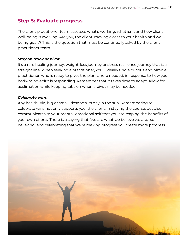### **Step 5: Evaluate progress**

The client-practitioner team assesses what's working, what isn't and how client well-being is evolving. Are you, the client, moving closer to your health and wellbeing goals? This is the question that must be continually asked by the clientpractitioner team.

#### *Stay on track or pivot*

It's a rare healing journey, weight-loss journey or stress resilience journey that is a straight line. When seeking a practitioner, you'll ideally find a curious and nimble practitioner, who is ready to pivot the plan where needed, in response to how your body-mind-spirit is responding. Remember that it takes time to adapt. Allow for acclimation while keeping tabs on when a pivot may be needed.

#### *Celebrate wins*

Any health win, big or small, deserves its day in the sun. Remembering to celebrate wins not only supports you, the client, in staying the course, but also communicates to your mental-emotional self that you are reaping the benefits of your own efforts. There is a saying that "we are what we believe we are," so believing and celebrating that we're making progress will create more progress.

![](_page_6_Picture_7.jpeg)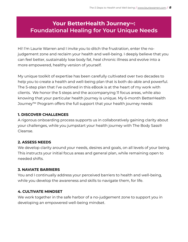## **Your BetterHealth Journey™: Foundational Healing for Your Unique Needs**

Hi! I'm Laurie Warren and I invite you to ditch the frustration, enter the nojudgement zone and reclaim your health and well-being. I deeply believe that you can feel better, sustainably lose body fat, heal chronic illness and evolve into a more empowered, healthy version of yourself.

My unique toolkit of expertise has been carefully cultivated over two decades to help you to create a health and well-being plan that is both do-able and powerful. The 5-step plan that I've outlined in this eBook is at the heart of my work with clients. We honor the 5 steps and the accompanying 11 focus areas, while also knowing that your particular health journey is unique. My 6-month BetterHealth Journey™ Program offers the full support that your health journey needs:

#### **1. DISCOVER CHALLENGES**

A rigorous onboarding process supports us in collaboratively gaining clarity about your challenges, while you jumpstart your health journey with The Body Sass® Cleanse.

#### **2. ASSESS NEEDS**

We develop clarity around your needs, desires and goals, on all levels of your being. This instructs your initial focus areas and general plan, while remaining open to needed shifts.

#### **3. NAVIATE BARRIERS**

You and I continually address your perceived barriers to health and well-being, while you develop the awareness and skills to navigate them, for life.

#### **4. CULTIVATE MINDSET**

We work together in the safe harbor of a no-judgement zone to support you in developing an empowered well-being mindset.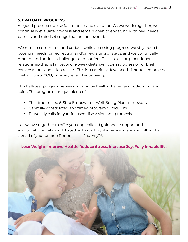#### **5. EVALUATE PROGRESS**

All good processes allow for iteration and evolution. As we work together, we continually evaluate progress and remain open to engaging with new needs, barriers and mindset snags that are uncovered.

We remain committed and curious while assessing progress; we stay open to potential needs for redirection and/or re-visiting of steps; and we continually monitor and address challenges and barriers. This is a client-practitioner relationship that is far beyond 4-week diets, symptom suppression or brief conversations about lab results. This is a carefully developed, time-tested process that supports YOU, on every level of your being.

This half-year program serves your unique health challenges, body, mind and spirit. The program's unique blend of…

- ‣ The time-tested 5-Step Empowered Well-Being Plan framework
- ‣ Carefully constructed and timed program curriculum
- ‣ Bi-weekly calls for you-focused discussion and protocols

…all weave together to offer you unparalleled guidance, support and accountability. Let's work together to start right where you are and follow the thread of your unique BetterHealth Journey™.

#### **Lose Weight. Improve Health. Reduce Stress. Increase Joy. Fully inhabit life.**

![](_page_8_Picture_10.jpeg)